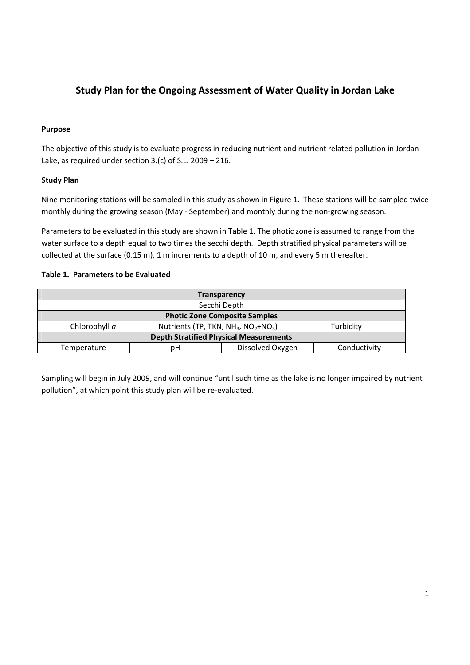# **Study Plan for the Ongoing Assessment of Water Quality in Jordan Lake**

## **Purpose**

The objective of this study is to evaluate progress in reducing nutrient and nutrient related pollution in Jordan Lake, as required under section 3.(c) of S.L. 2009 – 216.

## **Study Plan**

Nine monitoring stations will be sampled in this study as shown in Figure 1. These stations will be sampled twice monthly during the growing season (May - September) and monthly during the non-growing season.

Parameters to be evaluated in this study are shown in Table 1. The photic zone is assumed to range from the water surface to a depth equal to two times the secchi depth. Depth stratified physical parameters will be collected at the surface (0.15 m), 1 m increments to a depth of 10 m, and every 5 m thereafter.

## **Table 1. Parameters to be Evaluated**

| <b>Transparency</b>                           |                                                                          |                  |              |
|-----------------------------------------------|--------------------------------------------------------------------------|------------------|--------------|
| Secchi Depth                                  |                                                                          |                  |              |
| <b>Photic Zone Composite Samples</b>          |                                                                          |                  |              |
| Chlorophyll a                                 | Nutrients (TP, TKN, NH <sub>3</sub> , NO <sub>2</sub> +NO <sub>3</sub> ) |                  | Turbidity    |
| <b>Depth Stratified Physical Measurements</b> |                                                                          |                  |              |
| Temperature                                   | рH                                                                       | Dissolved Oxygen | Conductivity |

Sampling will begin in July 2009, and will continue "until such time as the lake is no longer impaired by nutrient pollution", at which point this study plan will be re-evaluated.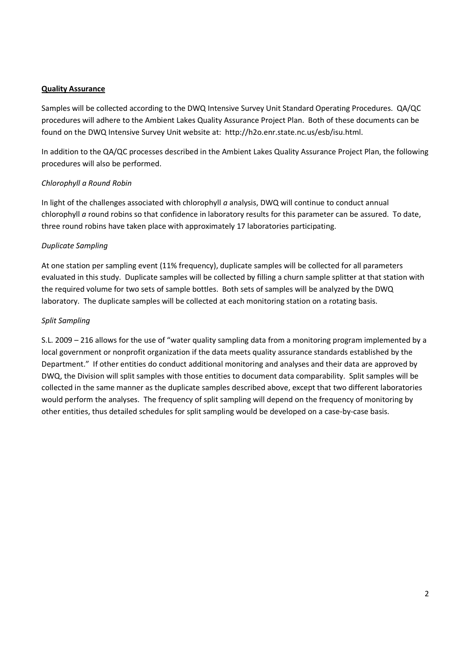#### **Quality Assurance**

Samples will be collected according to the DWQ Intensive Survey Unit Standard Operating Procedures. QA/QC procedures will adhere to the Ambient Lakes Quality Assurance Project Plan. Both of these documents can be found on the DWQ Intensive Survey Unit website at: http://h2o.enr.state.nc.us/esb/isu.html.

In addition to the QA/QC processes described in the Ambient Lakes Quality Assurance Project Plan, the following procedures will also be performed.

## *Chlorophyll a Round Robin*

In light of the challenges associated with chlorophyll *a* analysis, DWQ will continue to conduct annual chlorophyll *a* round robins so that confidence in laboratory results for this parameter can be assured. To date, three round robins have taken place with approximately 17 laboratories participating.

## *Duplicate Sampling*

At one station per sampling event (11% frequency), duplicate samples will be collected for all parameters evaluated in this study. Duplicate samples will be collected by filling a churn sample splitter at that station with the required volume for two sets of sample bottles. Both sets of samples will be analyzed by the DWQ laboratory. The duplicate samples will be collected at each monitoring station on a rotating basis.

## *Split Sampling*

S.L. 2009 – 216 allows for the use of "water quality sampling data from a monitoring program implemented by a local government or nonprofit organization if the data meets quality assurance standards established by the Department." If other entities do conduct additional monitoring and analyses and their data are approved by DWQ, the Division will split samples with those entities to document data comparability. Split samples will be collected in the same manner as the duplicate samples described above, except that two different laboratories would perform the analyses. The frequency of split sampling will depend on the frequency of monitoring by other entities, thus detailed schedules for split sampling would be developed on a case-by-case basis.